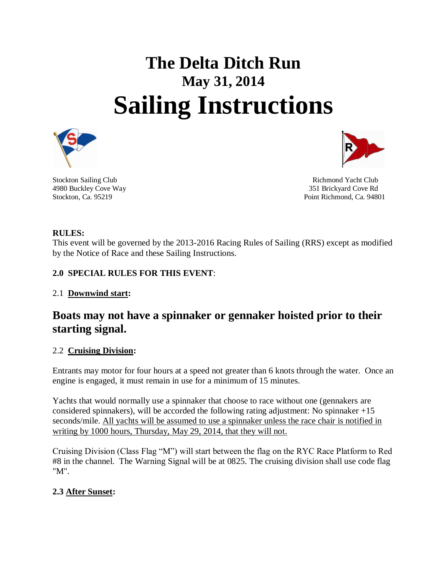# **The Delta Ditch Run May 31, 2014 Sailing Instructions**



Stockton Sailing Club **Richmond Yacht Club** Richmond Yacht Club 4980 Buckley Cove Way 351 Brickyard Cove Rd Stockton, Ca. 95219 **Point Richmond, Ca. 94801** 

# **RULES:**

This event will be governed by the 2013-2016 Racing Rules of Sailing (RRS) except as modified by the Notice of Race and these Sailing Instructions.

# **2.0 SPECIAL RULES FOR THIS EVENT**:

# 2.1 **Downwind start:**

# **Boats may not have a spinnaker or gennaker hoisted prior to their starting signal.**

#### 2.2 **Cruising Division:**

Entrants may motor for four hours at a speed not greater than 6 knots through the water. Once an engine is engaged, it must remain in use for a minimum of 15 minutes.

Yachts that would normally use a spinnaker that choose to race without one (gennakers are considered spinnakers), will be accorded the following rating adjustment: No spinnaker  $+15$ seconds/mile. All yachts will be assumed to use a spinnaker unless the race chair is notified in writing by 1000 hours, Thursday, May 29, 2014, that they will not.

Cruising Division (Class Flag "M") will start between the flag on the RYC Race Platform to Red #8 in the channel. The Warning Signal will be at 0825. The cruising division shall use code flag "M".

# **2.3 After Sunset:**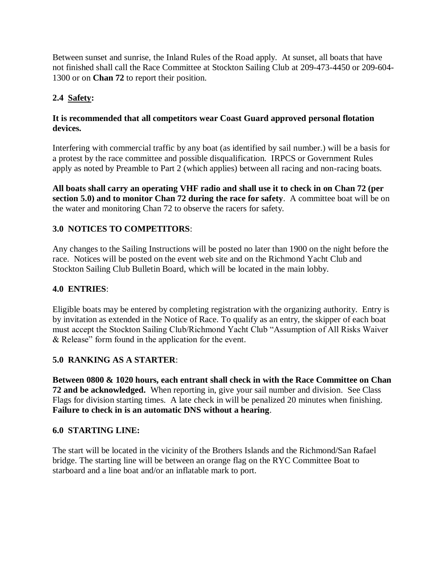Between sunset and sunrise, the Inland Rules of the Road apply. At sunset, all boats that have not finished shall call the Race Committee at Stockton Sailing Club at 209-473-4450 or 209-604- 1300 or on **Chan 72** to report their position.

# **2.4 Safety:**

#### **It is recommended that all competitors wear Coast Guard approved personal flotation devices.**

Interfering with commercial traffic by any boat (as identified by sail number.) will be a basis for a protest by the race committee and possible disqualification. IRPCS or Government Rules apply as noted by Preamble to Part 2 (which applies) between all racing and non-racing boats.

**All boats shall carry an operating VHF radio and shall use it to check in on Chan 72 (per section 5.0) and to monitor Chan 72 during the race for safety**. A committee boat will be on the water and monitoring Chan 72 to observe the racers for safety.

# **3.0 NOTICES TO COMPETITORS**:

Any changes to the Sailing Instructions will be posted no later than 1900 on the night before the race. Notices will be posted on the event web site and on the Richmond Yacht Club and Stockton Sailing Club Bulletin Board, which will be located in the main lobby.

#### **4.0 ENTRIES**:

Eligible boats may be entered by completing registration with the organizing authority. Entry is by invitation as extended in the Notice of Race. To qualify as an entry, the skipper of each boat must accept the Stockton Sailing Club/Richmond Yacht Club "Assumption of All Risks Waiver & Release" form found in the application for the event.

#### **5.0 RANKING AS A STARTER**:

**Between 0800 & 1020 hours, each entrant shall check in with the Race Committee on Chan 72 and be acknowledged.** When reporting in, give your sail number and division. See Class Flags for division starting times. A late check in will be penalized 20 minutes when finishing. **Failure to check in is an automatic DNS without a hearing**.

#### **6.0 STARTING LINE:**

The start will be located in the vicinity of the Brothers Islands and the Richmond/San Rafael bridge. The starting line will be between an orange flag on the RYC Committee Boat to starboard and a line boat and/or an inflatable mark to port.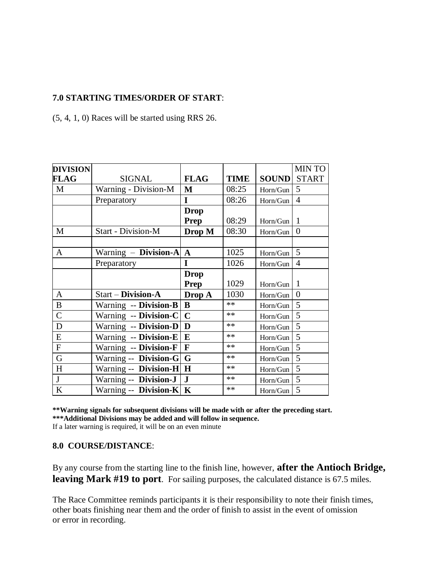#### **7.0 STARTING TIMES/ORDER OF START**:

(5, 4, 1, 0) Races will be started using RRS 26.

| <b>DIVISION</b> |                           |              |             |                    | <b>MINTO</b>     |
|-----------------|---------------------------|--------------|-------------|--------------------|------------------|
| FLAG            | <b>SIGNAL</b>             | <b>FLAG</b>  | <b>TIME</b> | <b>SOUND</b> START |                  |
| $\mathbf{M}$    | Warning - Division-M      | $\mathbf{M}$ | 08:25       | Horn/Gun           | 5                |
|                 | Preparatory               | I            | 08:26       | Horn/Gun           | $\overline{4}$   |
|                 |                           | <b>Drop</b>  |             |                    |                  |
|                 |                           | Prep         | 08:29       | Horn/Gun           | 1                |
| M               | <b>Start - Division-M</b> | Drop M       | 08:30       | Horn/Gun           | $\boldsymbol{0}$ |
|                 |                           |              |             |                    |                  |
| A               | Warning - Division-A      | $\mathbf{A}$ | 1025        | Horn/Gun           | 5                |
|                 | Preparatory               | I            | 1026        | Horn/Gun           | $\overline{4}$   |
|                 |                           | <b>Drop</b>  |             |                    |                  |
|                 |                           | Prep         | 1029        | Horn/Gun           | $\mathbf{1}$     |
| A               | Start - Division-A        | Drop A       | 1030        | Horn/Gun           | $\overline{0}$   |
| B               | Warning -- Division-B     | B            | **          | Horn/Gun           | 5                |
| $\mathcal{C}$   | Warning -- Division-C     | $\mathbf C$  | **          | Horn/Gun           | 5                |
| D               | Warning -- Division-D     | D            | $**$        | Horn/Gun           | 5                |
| E               | Warning -- Division-E     | ${\bf E}$    | $**$        | Horn/Gun           | 5                |
| $\overline{F}$  | Warning -- Division-F     | $\mathbf F$  | **          | Horn/Gun           | 5                |
| G               | Warning -- Division-G     | G            | **          | Horn/Gun           | 5                |
| H               | Warning -- Division-H     | H            | $**$        | Horn/Gun           | 5                |
| $\mathbf{J}$    | Warning -- Division-J     | ${\bf J}$    | $**$        | Horn/Gun           | 5                |
| $\bf K$         | Warning -- Division-K     | $\mathbf K$  | **          | Horn/Gun           | 5                |

**\*\*Warning signals for subsequent divisions will be made with or after the preceding start. \*\*\*Additional Divisions may be added and will follow in sequence.**  If a later warning is required, it will be on an even minute

#### **8.0 COURSE/DISTANCE**:

By any course from the starting line to the finish line, however, **after the Antioch Bridge, leaving Mark #19 to port**. For sailing purposes, the calculated distance is 67.5 miles.

The Race Committee reminds participants it is their responsibility to note their finish times, other boats finishing near them and the order of finish to assist in the event of omission or error in recording.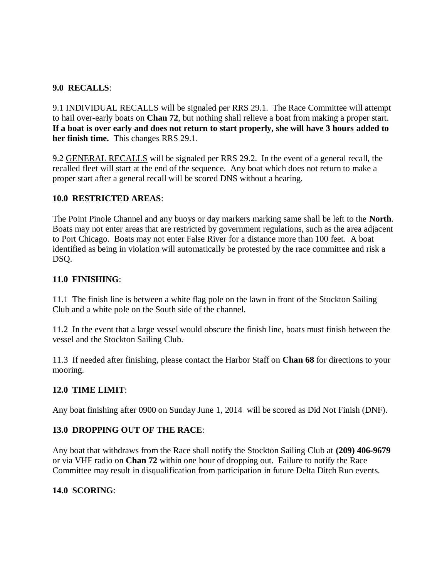#### **9.0 RECALLS**:

9.1 INDIVIDUAL RECALLS will be signaled per RRS 29.1. The Race Committee will attempt to hail over-early boats on **Chan 72**, but nothing shall relieve a boat from making a proper start. **If a boat is over early and does not return to start properly, she will have 3 hours added to her finish time.** This changes RRS 29.1.

9.2 GENERAL RECALLS will be signaled per RRS 29.2. In the event of a general recall, the recalled fleet will start at the end of the sequence. Any boat which does not return to make a proper start after a general recall will be scored DNS without a hearing.

#### **10.0 RESTRICTED AREAS**:

The Point Pinole Channel and any buoys or day markers marking same shall be left to the **North**. Boats may not enter areas that are restricted by government regulations, such as the area adjacent to Port Chicago. Boats may not enter False River for a distance more than 100 feet. A boat identified as being in violation will automatically be protested by the race committee and risk a DSQ.

#### **11.0 FINISHING**:

11.1 The finish line is between a white flag pole on the lawn in front of the Stockton Sailing Club and a white pole on the South side of the channel.

11.2 In the event that a large vessel would obscure the finish line, boats must finish between the vessel and the Stockton Sailing Club.

11.3 If needed after finishing, please contact the Harbor Staff on **Chan 68** for directions to your mooring.

#### **12.0 TIME LIMIT**:

Any boat finishing after 0900 on Sunday June 1, 2014 will be scored as Did Not Finish (DNF).

#### **13.0 DROPPING OUT OF THE RACE**:

Any boat that withdraws from the Race shall notify the Stockton Sailing Club at **(209) 406-9679** or via VHF radio on **Chan 72** within one hour of dropping out. Failure to notify the Race Committee may result in disqualification from participation in future Delta Ditch Run events.

#### **14.0 SCORING**: